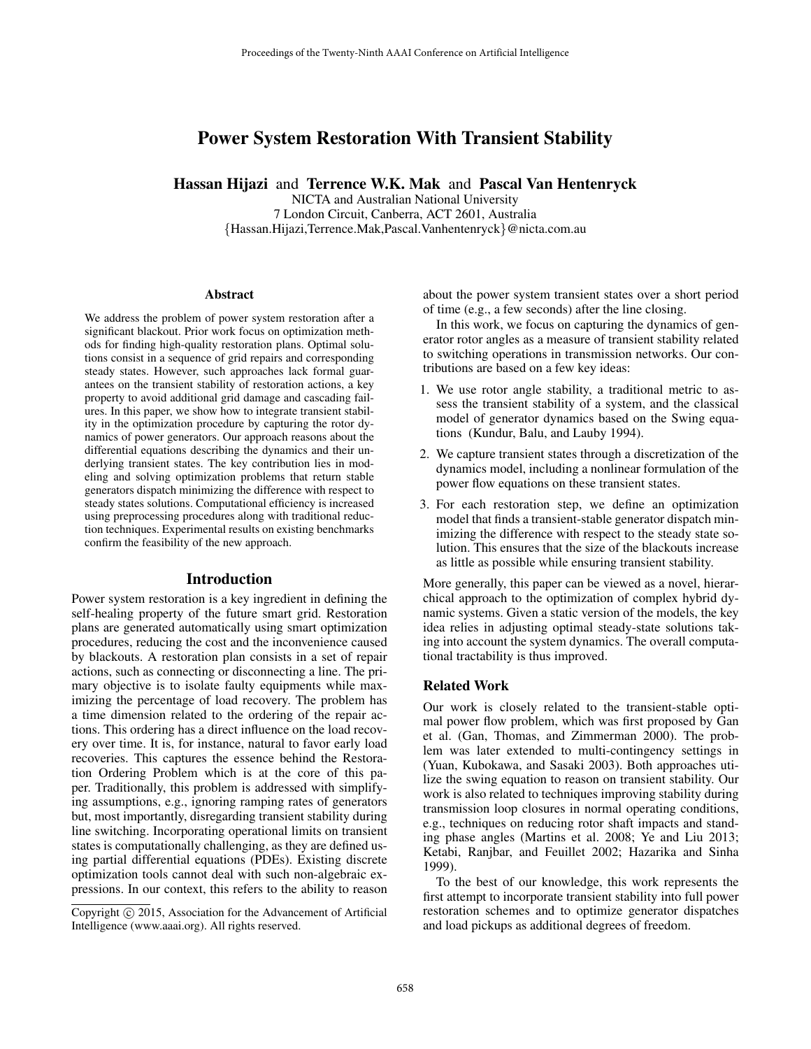# Power System Restoration With Transient Stability

Hassan Hijazi and Terrence W.K. Mak and Pascal Van Hentenryck

NICTA and Australian National University 7 London Circuit, Canberra, ACT 2601, Australia {Hassan.Hijazi,Terrence.Mak,Pascal.Vanhentenryck}@nicta.com.au

#### Abstract

We address the problem of power system restoration after a significant blackout. Prior work focus on optimization methods for finding high-quality restoration plans. Optimal solutions consist in a sequence of grid repairs and corresponding steady states. However, such approaches lack formal guarantees on the transient stability of restoration actions, a key property to avoid additional grid damage and cascading failures. In this paper, we show how to integrate transient stability in the optimization procedure by capturing the rotor dynamics of power generators. Our approach reasons about the differential equations describing the dynamics and their underlying transient states. The key contribution lies in modeling and solving optimization problems that return stable generators dispatch minimizing the difference with respect to steady states solutions. Computational efficiency is increased using preprocessing procedures along with traditional reduction techniques. Experimental results on existing benchmarks confirm the feasibility of the new approach.

#### Introduction

Power system restoration is a key ingredient in defining the self-healing property of the future smart grid. Restoration plans are generated automatically using smart optimization procedures, reducing the cost and the inconvenience caused by blackouts. A restoration plan consists in a set of repair actions, such as connecting or disconnecting a line. The primary objective is to isolate faulty equipments while maximizing the percentage of load recovery. The problem has a time dimension related to the ordering of the repair actions. This ordering has a direct influence on the load recovery over time. It is, for instance, natural to favor early load recoveries. This captures the essence behind the Restoration Ordering Problem which is at the core of this paper. Traditionally, this problem is addressed with simplifying assumptions, e.g., ignoring ramping rates of generators but, most importantly, disregarding transient stability during line switching. Incorporating operational limits on transient states is computationally challenging, as they are defined using partial differential equations (PDEs). Existing discrete optimization tools cannot deal with such non-algebraic expressions. In our context, this refers to the ability to reason

about the power system transient states over a short period of time (e.g., a few seconds) after the line closing.

In this work, we focus on capturing the dynamics of generator rotor angles as a measure of transient stability related to switching operations in transmission networks. Our contributions are based on a few key ideas:

- 1. We use rotor angle stability, a traditional metric to assess the transient stability of a system, and the classical model of generator dynamics based on the Swing equations (Kundur, Balu, and Lauby 1994).
- 2. We capture transient states through a discretization of the dynamics model, including a nonlinear formulation of the power flow equations on these transient states.
- 3. For each restoration step, we define an optimization model that finds a transient-stable generator dispatch minimizing the difference with respect to the steady state solution. This ensures that the size of the blackouts increase as little as possible while ensuring transient stability.

More generally, this paper can be viewed as a novel, hierarchical approach to the optimization of complex hybrid dynamic systems. Given a static version of the models, the key idea relies in adjusting optimal steady-state solutions taking into account the system dynamics. The overall computational tractability is thus improved.

## Related Work

Our work is closely related to the transient-stable optimal power flow problem, which was first proposed by Gan et al. (Gan, Thomas, and Zimmerman 2000). The problem was later extended to multi-contingency settings in (Yuan, Kubokawa, and Sasaki 2003). Both approaches utilize the swing equation to reason on transient stability. Our work is also related to techniques improving stability during transmission loop closures in normal operating conditions, e.g., techniques on reducing rotor shaft impacts and standing phase angles (Martins et al. 2008; Ye and Liu 2013; Ketabi, Ranjbar, and Feuillet 2002; Hazarika and Sinha 1999).

To the best of our knowledge, this work represents the first attempt to incorporate transient stability into full power restoration schemes and to optimize generator dispatches and load pickups as additional degrees of freedom.

Copyright (c) 2015, Association for the Advancement of Artificial Intelligence (www.aaai.org). All rights reserved.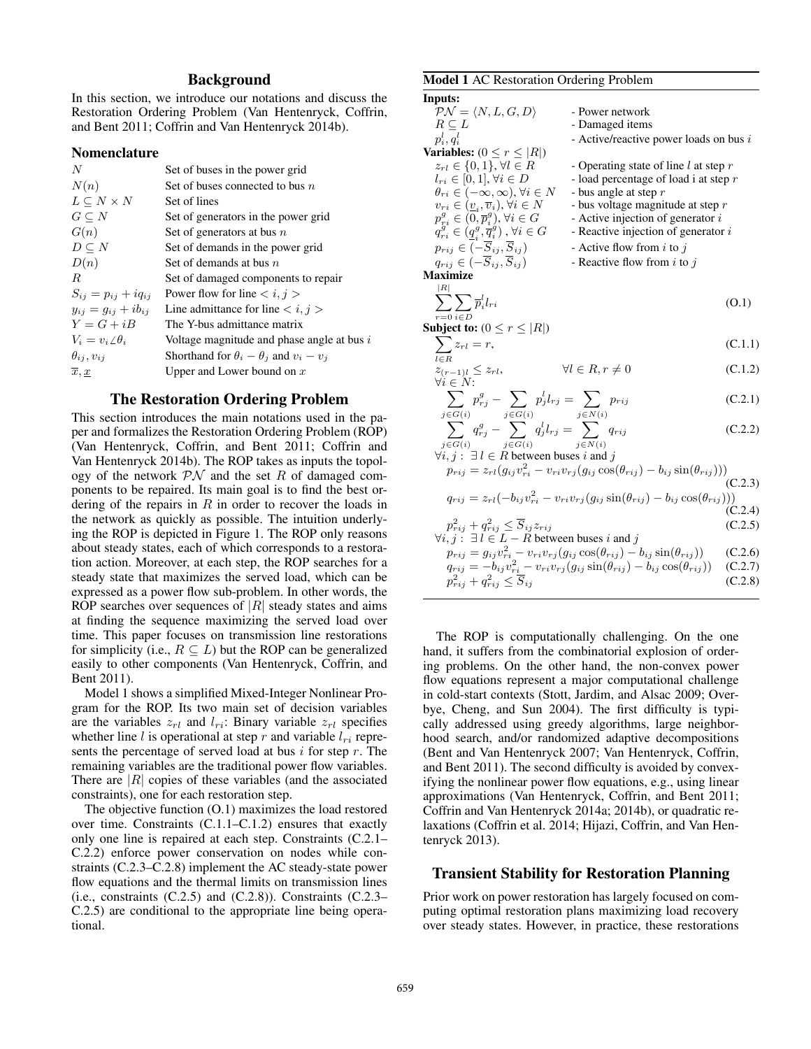## Background

In this section, we introduce our notations and discuss the Restoration Ordering Problem (Van Hentenryck, Coffrin, and Bent 2011; Coffrin and Van Hentenryck 2014b).

#### Nomenclature

| $\boldsymbol{N}$            | Set of buses in the power grid                      |
|-----------------------------|-----------------------------------------------------|
| N(n)                        | Set of buses connected to bus $n$                   |
| $L \subseteq N \times N$    | Set of lines                                        |
| $G \subseteq N$             | Set of generators in the power grid                 |
| G(n)                        | Set of generators at bus $n$                        |
| $D \subseteq N$             | Set of demands in the power grid                    |
| D(n)                        | Set of demands at bus $n$                           |
| R.                          | Set of damaged components to repair                 |
| $S_{ij} = p_{ij} + iq_{ij}$ | Power flow for line $\langle i, j \rangle$          |
| $y_{ii} = g_{ii} + ib_{ii}$ | Line admittance for line $\langle i, j \rangle$     |
| $Y = G + iB$                | The Y-bus admittance matrix                         |
| $V_i = v_i \angle \theta_i$ | Voltage magnitude and phase angle at bus i          |
| $\theta_{ij}, v_{ij}$       | Shorthand for $\theta_i - \theta_j$ and $v_i - v_j$ |
| $\overline{x},\overline{x}$ | Upper and Lower bound on $x$                        |

### The Restoration Ordering Problem

This section introduces the main notations used in the paper and formalizes the Restoration Ordering Problem (ROP) (Van Hentenryck, Coffrin, and Bent 2011; Coffrin and Van Hentenryck 2014b). The ROP takes as inputs the topology of the network  $\mathcal{PN}$  and the set R of damaged components to be repaired. Its main goal is to find the best ordering of the repairs in  $R$  in order to recover the loads in the network as quickly as possible. The intuition underlying the ROP is depicted in Figure 1. The ROP only reasons about steady states, each of which corresponds to a restoration action. Moreover, at each step, the ROP searches for a steady state that maximizes the served load, which can be expressed as a power flow sub-problem. In other words, the ROP searches over sequences of  $|R|$  steady states and aims at finding the sequence maximizing the served load over time. This paper focuses on transmission line restorations for simplicity (i.e.,  $R \subseteq L$ ) but the ROP can be generalized easily to other components (Van Hentenryck, Coffrin, and Bent 2011).

Model 1 shows a simplified Mixed-Integer Nonlinear Program for the ROP. Its two main set of decision variables are the variables  $z_{rl}$  and  $l_{ri}$ : Binary variable  $z_{rl}$  specifies whether line l is operational at step r and variable  $l_{ri}$  represents the percentage of served load at bus  $i$  for step  $r$ . The remaining variables are the traditional power flow variables. There are  $|R|$  copies of these variables (and the associated constraints), one for each restoration step.

The objective function (O.1) maximizes the load restored over time. Constraints (C.1.1–C.1.2) ensures that exactly only one line is repaired at each step. Constraints (C.2.1– C.2.2) enforce power conservation on nodes while constraints (C.2.3–C.2.8) implement the AC steady-state power flow equations and the thermal limits on transmission lines (i.e., constraints  $(C.2.5)$  and  $(C.2.8)$ ). Constraints  $(C.2.3-$ C.2.5) are conditional to the appropriate line being operational.

#### Model 1 AC Restoration Ordering Problem

| Inputs:                                                                                                                          |                                                                                                         |         |
|----------------------------------------------------------------------------------------------------------------------------------|---------------------------------------------------------------------------------------------------------|---------|
| $\mathcal{PN} = \langle N, L, G, D \rangle$                                                                                      | - Power network                                                                                         |         |
| $R \subseteq L$                                                                                                                  | - Damaged items                                                                                         |         |
| $p_i^l, q_i^l$                                                                                                                   | - Active/reactive power loads on bus $i$                                                                |         |
| <b>Variables:</b> $(0 \leq r \leq  R )$                                                                                          |                                                                                                         |         |
| $z_{rl} \in \{0,1\}, \forall l \in R$                                                                                            | - Operating state of line l at step $r$                                                                 |         |
| $l_{ri} \in [0,1], \forall i \in D$                                                                                              | - load percentage of load i at step $r$                                                                 |         |
| $\theta_{ri} \in (-\infty, \infty)$ , $\forall i \in N$                                                                          | - bus angle at step $r$                                                                                 |         |
| $v_{ri} \in (\underline{v}_i, \overline{v}_i), \forall i \in N$                                                                  | - bus voltage magnitude at step $r$                                                                     |         |
| $p_{ri}^g \in (0, \overline{p}_i^g), \forall i \in G$                                                                            | - Active injection of generator $i$                                                                     |         |
| $q^{g}_{ri} \in (\underline{q}^{g}_i, \overline{q}^{g}_i)$ , $\forall i \in G$                                                   | - Reactive injection of generator $i$                                                                   |         |
| $p_{rij} \in (-\overline{S}_{ij}, \overline{S}_{ij})$                                                                            | - Active flow from $i$ to $j$                                                                           |         |
| $q_{rij} \in (-\overline{S}_{ij}, \overline{S}_{ij})$                                                                            | - Reactive flow from i to j                                                                             |         |
| <b>Maximize</b>                                                                                                                  |                                                                                                         |         |
| R                                                                                                                                |                                                                                                         |         |
| $\sum \sum \overline{p}_i^l l_{ri}$                                                                                              |                                                                                                         | (0.1)   |
| $r=0$ $i \in D$                                                                                                                  |                                                                                                         |         |
| Subject to: $(0 \le r \le  R )$                                                                                                  |                                                                                                         |         |
| $\sum z_{rl}=r,$                                                                                                                 |                                                                                                         | (C.1.1) |
| $l \in R$                                                                                                                        |                                                                                                         |         |
| $z_{(r-1)l} \leq z_{rl},$<br>$\forall i \in N$ :                                                                                 | $\forall l \in R, r \neq 0$                                                                             | (C.1.2) |
|                                                                                                                                  |                                                                                                         |         |
| $\sum p_{rj}^g - \sum p_j^l l_{rj} = \sum p_{rij}$                                                                               |                                                                                                         | (C.2.1) |
| $j \in G(i)$                                                                                                                     |                                                                                                         |         |
| $\sum_{j \in G(i)}^{i \in G(i)} q_{rj}^g - \sum_{j \in G(i)}^{j \in G(i)} q_j^l l_{rj} = \sum_{j \in G(i)}^{j \in N(i)} q_{rij}$ |                                                                                                         | (C.2.2) |
| $j\!\in\!G(i)$<br>$j\in G(i)$                                                                                                    | $j \in N(i)$                                                                                            |         |
| $\forall i, j : \exists l \in R$ between buses i and j                                                                           |                                                                                                         |         |
|                                                                                                                                  | $p_{rij} = z_{rl}(g_{ij}v_{ri}^2 - v_{ri}v_{rj}(g_{ij}\cos(\theta_{rij}) - b_{ij}\sin(\theta_{rij})))$  |         |
|                                                                                                                                  |                                                                                                         | (C.2.3) |
|                                                                                                                                  | $q_{rij} = z_{rl}(-b_{ij}v_{ri}^2 - v_{ri}v_{rj}(g_{ij}\sin(\theta_{rij}) - b_{ij}\cos(\theta_{rij})))$ |         |
|                                                                                                                                  |                                                                                                         | (C.2.4) |
| $p_{rij}^2 + q_{rij}^2 \leq \overline{S}_{ij} z_{rij}$                                                                           |                                                                                                         | (C.2.5) |

$$
\forall i, j: \exists l \in L - R \text{ between buses } i \text{ and } j
$$
\n
$$
p_{rij} = g_{ij}v_{ri}^2 - v_{ri}v_{rj}(g_{ij}\cos(\theta_{rij}) - b_{ij}\sin(\theta_{rij})) \qquad (C.2.6)
$$
\n
$$
q_{rij} = -b_{ij}v_{ri}^2 - v_{ri}v_{rj}(g_{ij}\sin(\theta_{rij}) - b_{ij}\cos(\theta_{rij})) \qquad (C.2.7)
$$
\n
$$
p_{rij}^2 + q_{rij}^2 \leq \overline{S}_{ij} \qquad (C.2.8)
$$

The ROP is computationally challenging. On the one hand, it suffers from the combinatorial explosion of ordering problems. On the other hand, the non-convex power flow equations represent a major computational challenge in cold-start contexts (Stott, Jardim, and Alsac 2009; Overbye, Cheng, and Sun 2004). The first difficulty is typically addressed using greedy algorithms, large neighborhood search, and/or randomized adaptive decompositions (Bent and Van Hentenryck 2007; Van Hentenryck, Coffrin, and Bent 2011). The second difficulty is avoided by convexifying the nonlinear power flow equations, e.g., using linear approximations (Van Hentenryck, Coffrin, and Bent 2011; Coffrin and Van Hentenryck 2014a; 2014b), or quadratic relaxations (Coffrin et al. 2014; Hijazi, Coffrin, and Van Hentenryck 2013).

### Transient Stability for Restoration Planning

Prior work on power restoration has largely focused on computing optimal restoration plans maximizing load recovery over steady states. However, in practice, these restorations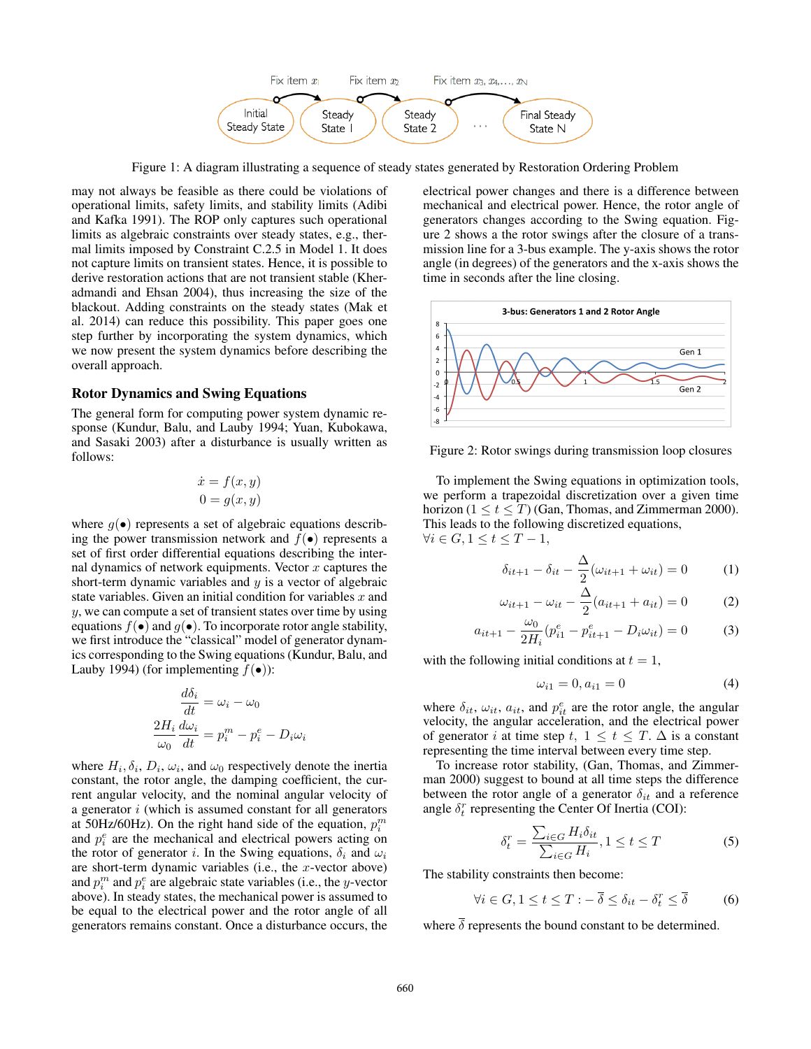

Figure 1: A diagram illustrating a sequence of steady states generated by Restoration Ordering Problem

may not always be feasible as there could be violations of operational limits, safety limits, and stability limits (Adibi and Kafka 1991). The ROP only captures such operational limits as algebraic constraints over steady states, e.g., thermal limits imposed by Constraint C.2.5 in Model 1. It does not capture limits on transient states. Hence, it is possible to derive restoration actions that are not transient stable (Kheradmandi and Ehsan 2004), thus increasing the size of the blackout. Adding constraints on the steady states (Mak et al. 2014) can reduce this possibility. This paper goes one step further by incorporating the system dynamics, which we now present the system dynamics before describing the overall approach.

### Rotor Dynamics and Swing Equations

The general form for computing power system dynamic response (Kundur, Balu, and Lauby 1994; Yuan, Kubokawa, and Sasaki 2003) after a disturbance is usually written as follows:

$$
\begin{aligned}\n\dot{x} &= f(x, y) \\
0 &= g(x, y)\n\end{aligned}
$$

where  $q(\bullet)$  represents a set of algebraic equations describing the power transmission network and  $f(\bullet)$  represents a set of first order differential equations describing the internal dynamics of network equipments. Vector  $x$  captures the short-term dynamic variables and  $y$  is a vector of algebraic state variables. Given an initial condition for variables  $x$  and y, we can compute a set of transient states over time by using equations  $f(\bullet)$  and  $g(\bullet)$ . To incorporate rotor angle stability, we first introduce the "classical" model of generator dynamics corresponding to the Swing equations (Kundur, Balu, and Lauby 1994) (for implementing  $f(\bullet)$ ):

$$
\frac{d\delta_i}{dt} = \omega_i - \omega_0
$$

$$
\frac{2H_i}{\omega_0} \frac{d\omega_i}{dt} = p_i^m - p_i^e - D_i \omega_i
$$

where  $H_i$ ,  $\delta_i$ ,  $D_i$ ,  $\omega_i$ , and  $\omega_0$  respectively denote the inertia constant, the rotor angle, the damping coefficient, the current angular velocity, and the nominal angular velocity of a generator  $i$  (which is assumed constant for all generators at 50Hz/60Hz). On the right hand side of the equation,  $p_i^m$ and  $p_i^e$  are the mechanical and electrical powers acting on the rotor of generator i. In the Swing equations,  $\delta_i$  and  $\omega_i$ are short-term dynamic variables (i.e., the  $x$ -vector above) and  $p_i^m$  and  $p_i^e$  are algebraic state variables (i.e., the y-vector above). In steady states, the mechanical power is assumed to be equal to the electrical power and the rotor angle of all generators remains constant. Once a disturbance occurs, the

electrical power changes and there is a difference between mechanical and electrical power. Hence, the rotor angle of generators changes according to the Swing equation. Figure 2 shows a the rotor swings after the closure of a transmission line for a 3-bus example. The y-axis shows the rotor angle (in degrees) of the generators and the x-axis shows the time in seconds after the line closing.



Figure 2: Rotor swings during transmission loop closures

To implement the Swing equations in optimization tools, we perform a trapezoidal discretization over a given time horizon ( $1 \le t \le T$ ) (Gan, Thomas, and Zimmerman 2000). This leads to the following discretized equations,  $\forall i \in G, 1 \leq t \leq T-1,$ 

$$
\delta_{it+1} - \delta_{it} - \frac{\Delta}{2}(\omega_{it+1} + \omega_{it}) = 0 \tag{1}
$$

$$
\omega_{it+1} - \omega_{it} - \frac{\Delta}{2}(a_{it+1} + a_{it}) = 0
$$
 (2)

$$
a_{it+1} - \frac{\omega_0}{2H_i} (p_{i1}^e - p_{it+1}^e - D_i \omega_{it}) = 0
$$
 (3)

with the following initial conditions at  $t = 1$ ,

$$
\omega_{i1} = 0, a_{i1} = 0 \tag{4}
$$

where  $\delta_{it}$ ,  $\omega_{it}$ ,  $a_{it}$ , and  $p_{it}^e$  are the rotor angle, the angular velocity, the angular acceleration, and the electrical power of generator i at time step t,  $1 \le t \le T$ .  $\Delta$  is a constant representing the time interval between every time step.

To increase rotor stability, (Gan, Thomas, and Zimmerman 2000) suggest to bound at all time steps the difference between the rotor angle of a generator  $\delta_{it}$  and a reference angle  $\delta_t^r$  representing the Center Of Inertia (COI):

$$
\delta_t^r = \frac{\sum_{i \in G} H_i \delta_{it}}{\sum_{i \in G} H_i}, 1 \le t \le T
$$
\n(5)

The stability constraints then become:

$$
\forall i \in G, 1 \le t \le T : -\overline{\delta} \le \delta_{it} - \delta_t^r \le \overline{\delta} \tag{6}
$$

where  $\delta$  represents the bound constant to be determined.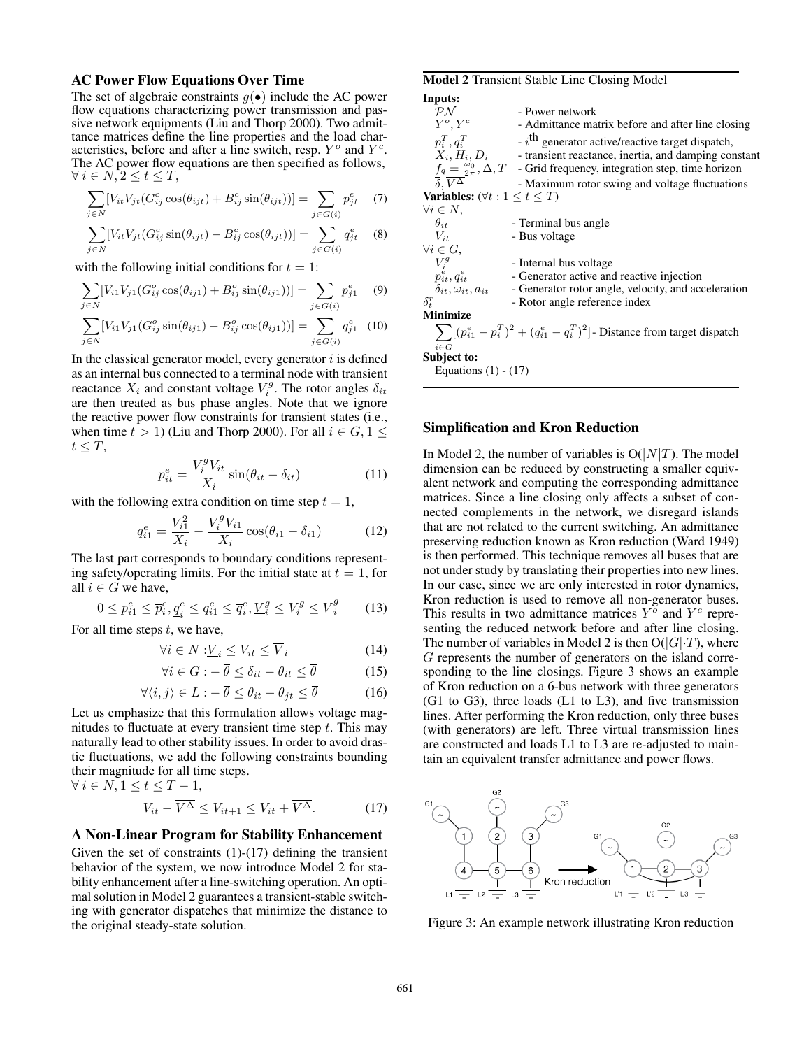#### AC Power Flow Equations Over Time

The set of algebraic constraints  $q(\bullet)$  include the AC power flow equations characterizing power transmission and passive network equipments (Liu and Thorp 2000). Two admittance matrices define the line properties and the load characteristics, before and after a line switch, resp.  $Y^o$  and  $Y^c$ . The AC power flow equations are then specified as follows,  $\forall i \in N, 2 \leq t \leq T$ ,

$$
\sum_{j \in N} [V_{it} V_{jt} (G_{ij}^c \cos(\theta_{ijt}) + B_{ij}^c \sin(\theta_{ijt}))] = \sum_{j \in G(i)} p_{jt}^e \quad (7)
$$

$$
\sum_{j \in N} [V_{it} V_{jt} (G_{ij}^c \sin(\theta_{ijt}) - B_{ij}^c \cos(\theta_{ijt}))] = \sum_{j \in G(i)} q_{jt}^e \quad (8)
$$

with the following initial conditions for  $t = 1$ :

$$
\sum_{j \in N} [V_{i1} V_{j1} (G_{ij}^o \cos(\theta_{ij1}) + B_{ij}^o \sin(\theta_{ij1}))] = \sum_{j \in G(i)} p_{j1}^e \quad (9)
$$

$$
\sum_{j \in N} [V_{i1} V_{j1} (G_{ij}^o \sin(\theta_{ij1}) - B_{ij}^o \cos(\theta_{ij1}))] = \sum_{j \in G(i)} q_{j1}^e
$$
 (10)

In the classical generator model, every generator  $i$  is defined as an internal bus connected to a terminal node with transient reactance  $X_i$  and constant voltage  $V_i^g$ . The rotor angles  $\delta_{it}$ are then treated as bus phase angles. Note that we ignore the reactive power flow constraints for transient states (i.e., when time  $t > 1$ ) (Liu and Thorp 2000). For all  $i \in G$ ,  $1 \le$  $t \leq T$ ,

$$
p_{it}^{e} = \frac{V_i^g V_{it}}{X_i} \sin(\theta_{it} - \delta_{it})
$$
 (11)

with the following extra condition on time step  $t = 1$ ,

$$
q_{i1}^{e} = \frac{V_{i1}^{2}}{X_{i}} - \frac{V_{i}^{g} V_{i1}}{X_{i}} \cos(\theta_{i1} - \delta_{i1})
$$
 (12)

The last part corresponds to boundary conditions representing safety/operating limits. For the initial state at  $t = 1$ , for all  $i \in G$  we have,

$$
0 \le p_{i1}^e \le \overline{p}_i^e, \underline{q}_i^e \le q_{i1}^e \le \overline{q}_i^e, \underline{V}_i^g \le V_i^g \le \overline{V}_i^g \tag{13}
$$

For all time steps  $t$ , we have,

$$
\forall i \in N : \underline{V}_i \le V_{it} \le \overline{V}_i \tag{14}
$$

$$
\forall i \in G : -\overline{\theta} \le \delta_{it} - \theta_{it} \le \overline{\theta} \tag{15}
$$

$$
\forall \langle i, j \rangle \in L : -\overline{\theta} \le \theta_{it} - \theta_{jt} \le \overline{\theta} \tag{16}
$$

Let us emphasize that this formulation allows voltage magnitudes to fluctuate at every transient time step  $t$ . This may naturally lead to other stability issues. In order to avoid drastic fluctuations, we add the following constraints bounding their magnitude for all time steps.

$$
\forall i \in N, 1 \le t \le T - 1,
$$
  

$$
V_{it} - \overline{V^{\Delta}} \le V_{it+1} \le V_{it} + \overline{V^{\Delta}}.
$$
 (17)

#### A Non-Linear Program for Stability Enhancement

Given the set of constraints  $(1)-(17)$  defining the transient behavior of the system, we now introduce Model 2 for stability enhancement after a line-switching operation. An optimal solution in Model 2 guarantees a transient-stable switching with generator dispatches that minimize the distance to the original steady-state solution.

|                                                   | <b>Model 2</b> Transient Stable Line Closing Model                                                                                                                                           |
|---------------------------------------------------|----------------------------------------------------------------------------------------------------------------------------------------------------------------------------------------------|
| Inputs:                                           |                                                                                                                                                                                              |
| $\mathcal{P} \mathcal{N}$                         | - Power network                                                                                                                                                                              |
| $Y^o, Y^c$                                        | - Admittance matrix before and after line closing                                                                                                                                            |
| $p_i^T, q_i^T$                                    | $-i$ <sup>th</sup> generator active/reactive target dispatch,                                                                                                                                |
|                                                   | $X_i$ , $H_i$ , $D_i$ - transient reactance, inertia, and damping constant                                                                                                                   |
|                                                   | $f_q = \frac{\omega_0}{2\pi}, \Delta, T$ - Grid frequency, integration step, time horizon                                                                                                    |
| $\overline{\delta}$ . $\overline{V^{\Delta}}$     | - Maximum rotor swing and voltage fluctuations                                                                                                                                               |
| <b>Variables:</b> $(\forall t : 1 \leq t \leq T)$ |                                                                                                                                                                                              |
| $\forall i \in N$ ,                               |                                                                                                                                                                                              |
| $\theta_{it}$                                     | - Terminal bus angle                                                                                                                                                                         |
| $V_{it}$                                          | - Bus voltage                                                                                                                                                                                |
| $\forall i \in G,$                                |                                                                                                                                                                                              |
|                                                   |                                                                                                                                                                                              |
|                                                   | $V_i^g$ - Internal bus voltage<br>$p_{it}^i, q_{it}^e$ - Generator active and reactive injection<br>$\bigcap_{i=1}^{\infty}$ - $\bigcap_{i=1}^{\infty}$ rates rator angle. velocity, and acc |
|                                                   | $\delta_{it}, \omega_{it}, a_{it}$ - Generator rotor angle, velocity, and acceleration                                                                                                       |
| $\delta_r^r$                                      | - Rotor angle reference index                                                                                                                                                                |
| <b>Minimize</b>                                   |                                                                                                                                                                                              |
| $i \in G$                                         | $\sum [(p_{i1}^e - p_i^T)^2 + (q_{i1}^e - q_i^T)^2]$ - Distance from target dispatch                                                                                                         |
| Subject to:                                       |                                                                                                                                                                                              |
| Equations $(1) - (17)$                            |                                                                                                                                                                                              |

#### Simplification and Kron Reduction

In Model 2, the number of variables is  $O(|N|T)$ . The model dimension can be reduced by constructing a smaller equivalent network and computing the corresponding admittance matrices. Since a line closing only affects a subset of connected complements in the network, we disregard islands that are not related to the current switching. An admittance preserving reduction known as Kron reduction (Ward 1949) is then performed. This technique removes all buses that are not under study by translating their properties into new lines. In our case, since we are only interested in rotor dynamics, Kron reduction is used to remove all non-generator buses. This results in two admittance matrices  $Y^{\overline{o}}$  and  $Y^c$  representing the reduced network before and after line closing. The number of variables in Model 2 is then  $O(|G| \cdot T)$ , where G represents the number of generators on the island corresponding to the line closings. Figure 3 shows an example of Kron reduction on a 6-bus network with three generators (G1 to G3), three loads (L1 to L3), and five transmission lines. After performing the Kron reduction, only three buses (with generators) are left. Three virtual transmission lines are constructed and loads L1 to L3 are re-adjusted to maintain an equivalent transfer admittance and power flows.



Figure 3: An example network illustrating Kron reduction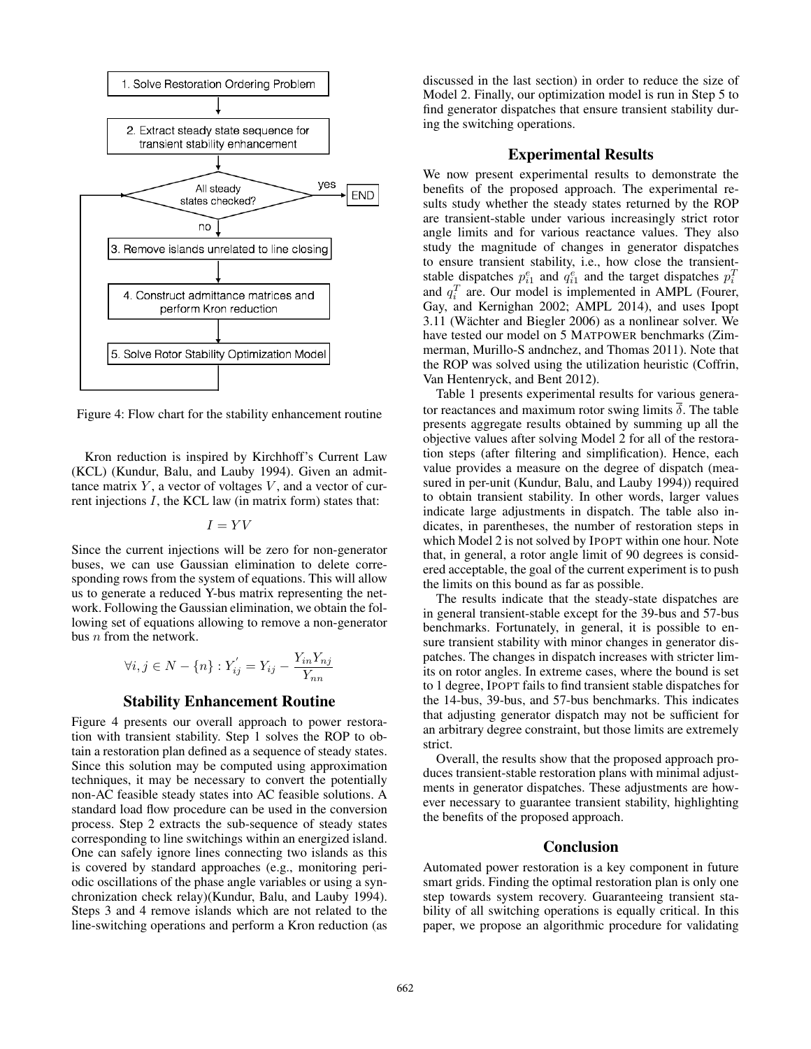

Figure 4: Flow chart for the stability enhancement routine

Kron reduction is inspired by Kirchhoff's Current Law (KCL) (Kundur, Balu, and Lauby 1994). Given an admittance matrix  $Y$ , a vector of voltages  $V$ , and a vector of current injections I, the KCL law (in matrix form) states that:

$$
I = YV
$$

Since the current injections will be zero for non-generator buses, we can use Gaussian elimination to delete corresponding rows from the system of equations. This will allow us to generate a reduced Y-bus matrix representing the network. Following the Gaussian elimination, we obtain the following set of equations allowing to remove a non-generator bus  $n$  from the network.

$$
\forall i,j \in N - \{n\} : Y_{ij}^{'} = Y_{ij} - \frac{Y_{in}Y_{nj}}{Y_{nn}}
$$

### Stability Enhancement Routine

Figure 4 presents our overall approach to power restoration with transient stability. Step 1 solves the ROP to obtain a restoration plan defined as a sequence of steady states. Since this solution may be computed using approximation techniques, it may be necessary to convert the potentially non-AC feasible steady states into AC feasible solutions. A standard load flow procedure can be used in the conversion process. Step 2 extracts the sub-sequence of steady states corresponding to line switchings within an energized island. One can safely ignore lines connecting two islands as this is covered by standard approaches (e.g., monitoring periodic oscillations of the phase angle variables or using a synchronization check relay)(Kundur, Balu, and Lauby 1994). Steps 3 and 4 remove islands which are not related to the line-switching operations and perform a Kron reduction (as

discussed in the last section) in order to reduce the size of Model 2. Finally, our optimization model is run in Step 5 to find generator dispatches that ensure transient stability during the switching operations.

## Experimental Results

We now present experimental results to demonstrate the benefits of the proposed approach. The experimental results study whether the steady states returned by the ROP are transient-stable under various increasingly strict rotor angle limits and for various reactance values. They also study the magnitude of changes in generator dispatches to ensure transient stability, i.e., how close the transientstable dispatches  $p_{i1}^e$  and  $q_{i1}^e$  and the target dispatches  $p_i^T$ and  $q_i^T$  are. Our model is implemented in AMPL (Fourer, Gay, and Kernighan 2002; AMPL 2014), and uses Ipopt  $3.11$  (Wächter and Biegler 2006) as a nonlinear solver. We have tested our model on 5 MATPOWER benchmarks (Zimmerman, Murillo-S andnchez, and Thomas 2011). Note that the ROP was solved using the utilization heuristic (Coffrin, Van Hentenryck, and Bent 2012).

Table 1 presents experimental results for various generator reactances and maximum rotor swing limits  $\delta$ . The table presents aggregate results obtained by summing up all the objective values after solving Model 2 for all of the restoration steps (after filtering and simplification). Hence, each value provides a measure on the degree of dispatch (measured in per-unit (Kundur, Balu, and Lauby 1994)) required to obtain transient stability. In other words, larger values indicate large adjustments in dispatch. The table also indicates, in parentheses, the number of restoration steps in which Model 2 is not solved by IPOPT within one hour. Note that, in general, a rotor angle limit of 90 degrees is considered acceptable, the goal of the current experiment is to push the limits on this bound as far as possible.

The results indicate that the steady-state dispatches are in general transient-stable except for the 39-bus and 57-bus benchmarks. Fortunately, in general, it is possible to ensure transient stability with minor changes in generator dispatches. The changes in dispatch increases with stricter limits on rotor angles. In extreme cases, where the bound is set to 1 degree, IPOPT fails to find transient stable dispatches for the 14-bus, 39-bus, and 57-bus benchmarks. This indicates that adjusting generator dispatch may not be sufficient for an arbitrary degree constraint, but those limits are extremely strict.

Overall, the results show that the proposed approach produces transient-stable restoration plans with minimal adjustments in generator dispatches. These adjustments are however necessary to guarantee transient stability, highlighting the benefits of the proposed approach.

## Conclusion

Automated power restoration is a key component in future smart grids. Finding the optimal restoration plan is only one step towards system recovery. Guaranteeing transient stability of all switching operations is equally critical. In this paper, we propose an algorithmic procedure for validating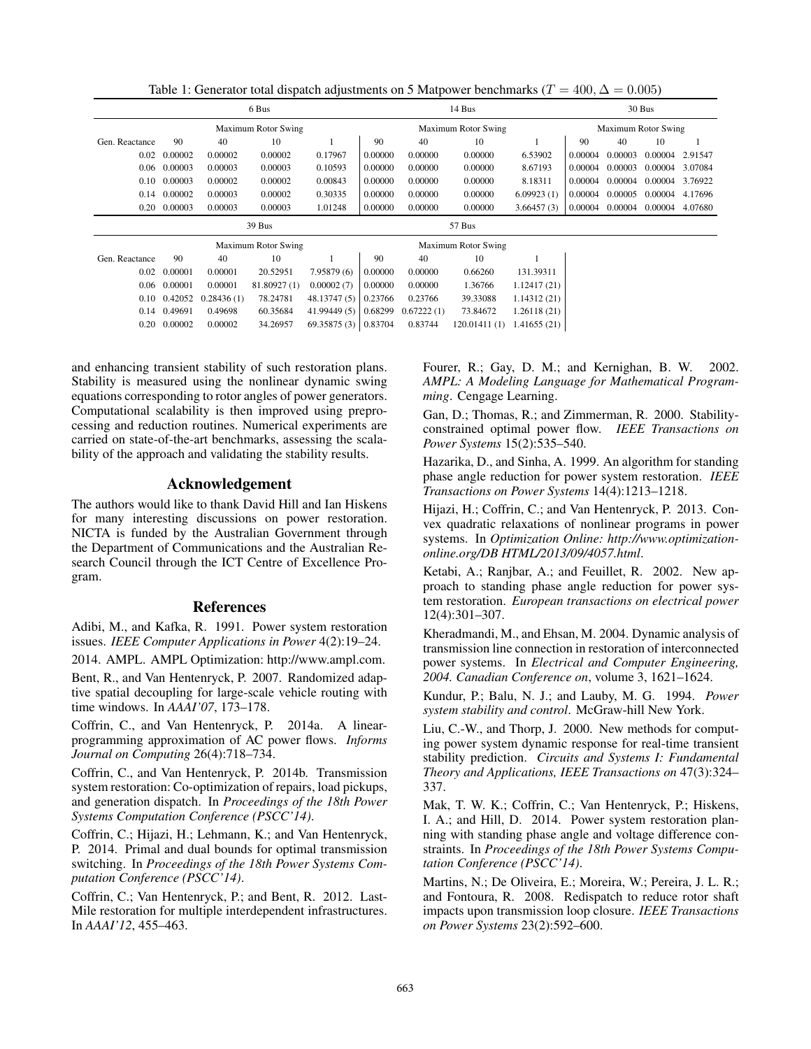Table 1: Generator total dispatch adjustments on 5 Matpower benchmarks ( $T = 400, \Delta = 0.005$ )

| 6 Bus               |         |            |                     |                     |         | 14 Bus     |                     |                     |         | 30 Bus  |         |         |  |
|---------------------|---------|------------|---------------------|---------------------|---------|------------|---------------------|---------------------|---------|---------|---------|---------|--|
| Maximum Rotor Swing |         |            |                     | Maximum Rotor Swing |         |            |                     | Maximum Rotor Swing |         |         |         |         |  |
| Gen. Reactance      | 90      | 40         | 10                  |                     | 90      | 40         | 10                  |                     | 90      | 40      | 10      |         |  |
| 0.02                | 0.00002 | 0.00002    | 0.00002             | 0.17967             | 0.00000 | 0.00000    | 0.00000             | 6.53902             | 0.00004 | 0.00003 | 0.00004 | 2.91547 |  |
| 0.06                | 0.00003 | 0.00003    | 0.00003             | 0.10593             | 0.00000 | 0.00000    | 0.00000             | 8.67193             | 0.00004 | 0.00003 | 0.00004 | 3.07084 |  |
| 0.10                | 0.00003 | 0.00002    | 0.00002             | 0.00843             | 0.00000 | 0.00000    | 0.00000             | 8.18311             | 0.00004 | 0.00004 | 0.00004 | 3.76922 |  |
| 0.14                | 0.00002 | 0.00003    | 0.00002             | 0.30335             | 0.00000 | 0.00000    | 0.00000             | 6.09923(1)          | 0.00004 | 0.00005 | 0.00004 | 4.17696 |  |
| 0.20                | 0.00003 | 0.00003    | 0.00003             | 1.01248             | 0.00000 | 0.00000    | 0.00000             | 3.66457(3)          | 0.00004 | 0.00004 | 0.00004 | 4.07680 |  |
|                     |         |            |                     |                     |         |            |                     |                     |         |         |         |         |  |
|                     |         |            | 39 Bus              |                     |         |            | 57 Bus              |                     |         |         |         |         |  |
|                     |         |            | Maximum Rotor Swing |                     |         |            | Maximum Rotor Swing |                     |         |         |         |         |  |
| Gen. Reactance      | 90      | 40         | 10                  |                     | 90      | 40         | 10                  |                     |         |         |         |         |  |
| 0.02                | 0.00001 | 0.00001    | 20.52951            | 7.95879(6)          | 0.00000 | 0.00000    | 0.66260             | 131.39311           |         |         |         |         |  |
| 0.06                | 0.00001 | 0.00001    | 81.80927 (1)        | 0.00002(7)          | 0.00000 | 0.00000    | 1.36766             | 1.12417(21)         |         |         |         |         |  |
| 0.10                | 0.42052 | 0.28436(1) | 78.24781            | 48.13747 (5)        | 0.23766 | 0.23766    | 39.33088            | 1.14312(21)         |         |         |         |         |  |
| 0.14                | 0.49691 | 0.49698    | 60.35684            | 41.99449 (5)        | 0.68299 | 0.67222(1) | 73.84672            | 1.26118(21)         |         |         |         |         |  |

and enhancing transient stability of such restoration plans. Stability is measured using the nonlinear dynamic swing equations corresponding to rotor angles of power generators. Computational scalability is then improved using preprocessing and reduction routines. Numerical experiments are carried on state-of-the-art benchmarks, assessing the scalability of the approach and validating the stability results.

## Acknowledgement

The authors would like to thank David Hill and Ian Hiskens for many interesting discussions on power restoration. NICTA is funded by the Australian Government through the Department of Communications and the Australian Research Council through the ICT Centre of Excellence Program.

#### References

Adibi, M., and Kafka, R. 1991. Power system restoration issues. *IEEE Computer Applications in Power* 4(2):19–24.

2014. AMPL. AMPL Optimization: http://www.ampl.com.

Bent, R., and Van Hentenryck, P. 2007. Randomized adaptive spatial decoupling for large-scale vehicle routing with time windows. In *AAAI'07*, 173–178.

Coffrin, C., and Van Hentenryck, P. 2014a. A linearprogramming approximation of AC power flows. *Informs Journal on Computing* 26(4):718–734.

Coffrin, C., and Van Hentenryck, P. 2014b. Transmission system restoration: Co-optimization of repairs, load pickups, and generation dispatch. In *Proceedings of the 18th Power Systems Computation Conference (PSCC'14)*.

Coffrin, C.; Hijazi, H.; Lehmann, K.; and Van Hentenryck, P. 2014. Primal and dual bounds for optimal transmission switching. In *Proceedings of the 18th Power Systems Computation Conference (PSCC'14)*.

Coffrin, C.; Van Hentenryck, P.; and Bent, R. 2012. Last-Mile restoration for multiple interdependent infrastructures. In *AAAI'12*, 455–463.

Fourer, R.; Gay, D. M.; and Kernighan, B. W. 2002. *AMPL: A Modeling Language for Mathematical Programming*. Cengage Learning.

Gan, D.; Thomas, R.; and Zimmerman, R. 2000. Stabilityconstrained optimal power flow. *IEEE Transactions on Power Systems* 15(2):535–540.

Hazarika, D., and Sinha, A. 1999. An algorithm for standing phase angle reduction for power system restoration. *IEEE Transactions on Power Systems* 14(4):1213–1218.

Hijazi, H.; Coffrin, C.; and Van Hentenryck, P. 2013. Convex quadratic relaxations of nonlinear programs in power systems. In *Optimization Online: http://www.optimizationonline.org/DB HTML/2013/09/4057.html*.

Ketabi, A.; Ranjbar, A.; and Feuillet, R. 2002. New approach to standing phase angle reduction for power system restoration. *European transactions on electrical power* 12(4):301–307.

Kheradmandi, M., and Ehsan, M. 2004. Dynamic analysis of transmission line connection in restoration of interconnected power systems. In *Electrical and Computer Engineering, 2004. Canadian Conference on*, volume 3, 1621–1624.

Kundur, P.; Balu, N. J.; and Lauby, M. G. 1994. *Power system stability and control*. McGraw-hill New York.

Liu, C.-W., and Thorp, J. 2000. New methods for computing power system dynamic response for real-time transient stability prediction. *Circuits and Systems I: Fundamental Theory and Applications, IEEE Transactions on* 47(3):324– 337.

Mak, T. W. K.; Coffrin, C.; Van Hentenryck, P.; Hiskens, I. A.; and Hill, D. 2014. Power system restoration planning with standing phase angle and voltage difference constraints. In *Proceedings of the 18th Power Systems Computation Conference (PSCC'14)*.

Martins, N.; De Oliveira, E.; Moreira, W.; Pereira, J. L. R.; and Fontoura, R. 2008. Redispatch to reduce rotor shaft impacts upon transmission loop closure. *IEEE Transactions on Power Systems* 23(2):592–600.